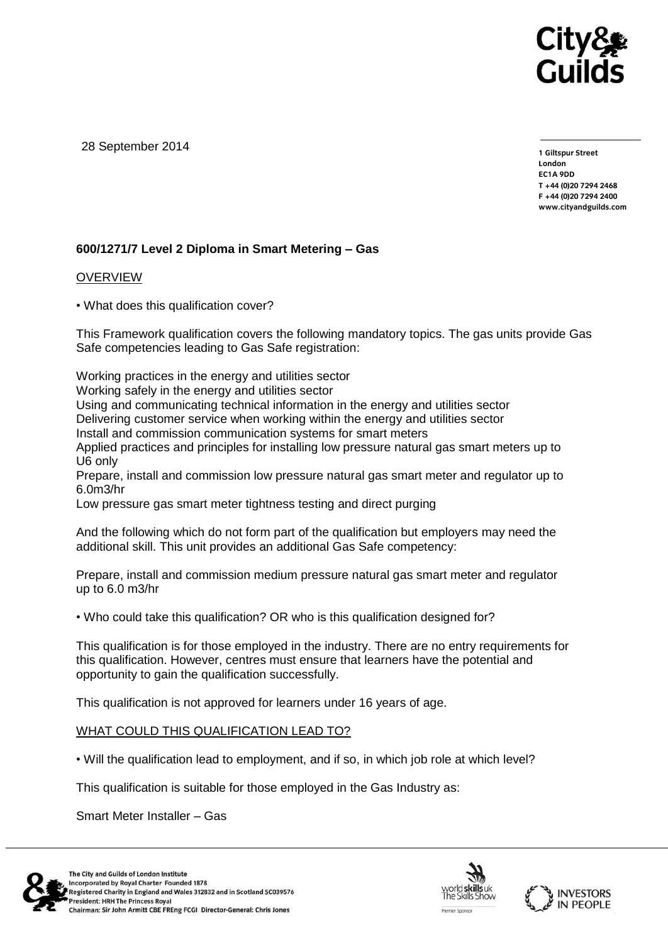

28 September 2014

**1 Giltspur Street EC1A 9DD** T +44 (0) 20 7 294 2468 **T +44 (0)20 7294 246[8](http://www.cityandguilds.com/) F +44 (0)20 7294 2400 [www.cityandguilds.com](http://www.cityandguilds.com/)**

## **600/1271/7 Level 2 Diploma in Smart Metering – Gas**

## **OVERVIEW**

• What does this qualification cover?

This Framework qualification covers the following mandatory topics. The gas units provide Gas Safe competencies leading to Gas Safe registration:

Working practices in the energy and utilities sector

Working safely in the energy and utilities sector

Using and communicating technical information in the energy and utilities sector

Delivering customer service when working within the energy and utilities sector

Install and commission communication systems for smart meters

Applied practices and principles for installing low pressure natural gas smart meters up to U6 only

Prepare, install and commission low pressure natural gas smart meter and regulator up to 6.0m3/hr

Low pressure gas smart meter tightness testing and direct purging

And the following which do not form part of the qualification but employers may need the additional skill. This unit provides an additional Gas Safe competency:

Prepare, install and commission medium pressure natural gas smart meter and regulator up to 6.0 m3/hr

• Who could take this qualification? OR who is this qualification designed for?

This qualification is for those employed in the industry. There are no entry requirements for this qualification. However, centres must ensure that learners have the potential and opportunity to gain the qualification successfully.

This qualification is not approved for learners under 16 years of age.

## WHAT COULD THIS QUALIFICATION LEAD TO?

• Will the qualification lead to employment, and if so, in which job role at which level?

This qualification is suitable for those employed in the Gas Industry as:

Smart Meter Installer – Gas